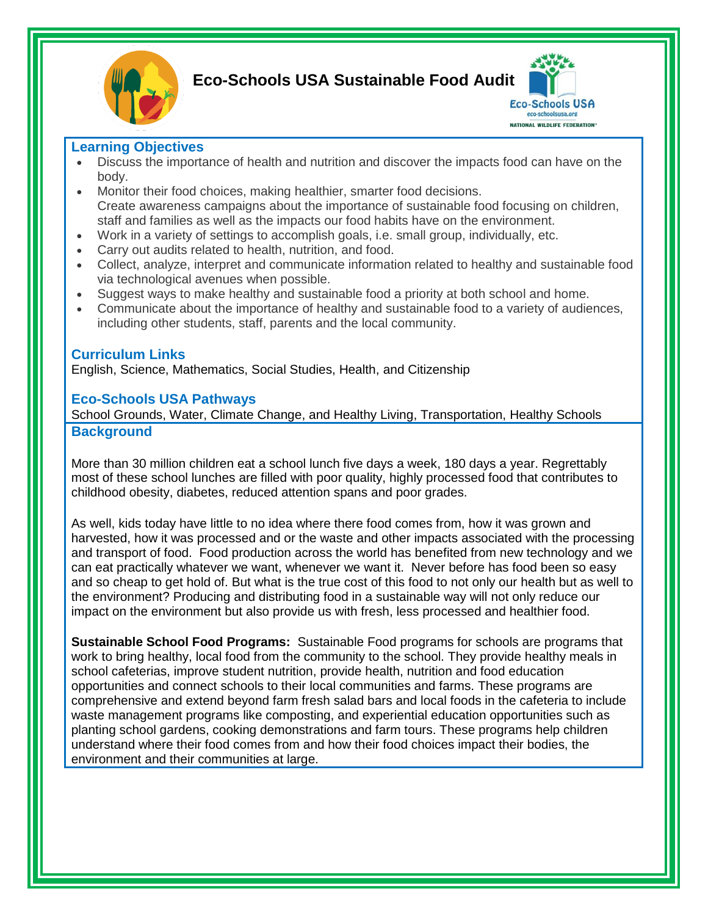

**Eco-Schools USA Sustainable Food Audit**



# **Learning Objectives**

- Discuss the importance of health and nutrition and discover the impacts food can have on the body.
- Monitor their food choices, making healthier, smarter food decisions. Create awareness campaigns about the importance of sustainable food focusing on children, staff and families as well as the impacts our food habits have on the environment.
- Work in a variety of settings to accomplish goals, i.e. small group, individually, etc.
- Carry out audits related to health, nutrition, and food.
- Collect, analyze, interpret and communicate information related to healthy and sustainable food via technological avenues when possible.
- Suggest ways to make healthy and sustainable food a priority at both school and home.
- Communicate about the importance of healthy and sustainable food to a variety of audiences, including other students, staff, parents and the local community.

# **Curriculum Links**

English, Science, Mathematics, Social Studies, Health, and Citizenship

## **Eco-Schools USA Pathways**

School Grounds, Water, Climate Change, and Healthy Living, Transportation, Healthy Schools **Background**

More than 30 million children eat a school lunch five days a week, 180 days a year. Regrettably most of these school lunches are filled with poor quality, highly processed food that contributes to childhood obesity, diabetes, reduced attention spans and poor grades.

As well, kids today have little to no idea where there food comes from, how it was grown and harvested, how it was processed and or the waste and other impacts associated with the processing and transport of food. Food production across the world has benefited from new technology and we can eat practically whatever we want, whenever we want it. Never before has food been so easy and so cheap to get hold of. But what is the true cost of this food to not only our health but as well to the environment? Producing and distributing food in a sustainable way will not only reduce our impact on the environment but also provide us with fresh, less processed and healthier food.

**Sustainable School Food Programs:** Sustainable Food programs for schools are programs that work to bring healthy, local food from the community to the school. They provide healthy meals in school cafeterias, improve student nutrition, provide health, nutrition and food education opportunities and connect schools to their local communities and farms. These programs are comprehensive and extend beyond farm fresh salad bars and local foods in the cafeteria to include waste management programs like composting, and experiential education opportunities such as planting school gardens, cooking demonstrations and farm tours. These programs help children understand where their food comes from and how their food choices impact their bodies, the environment and their communities at large.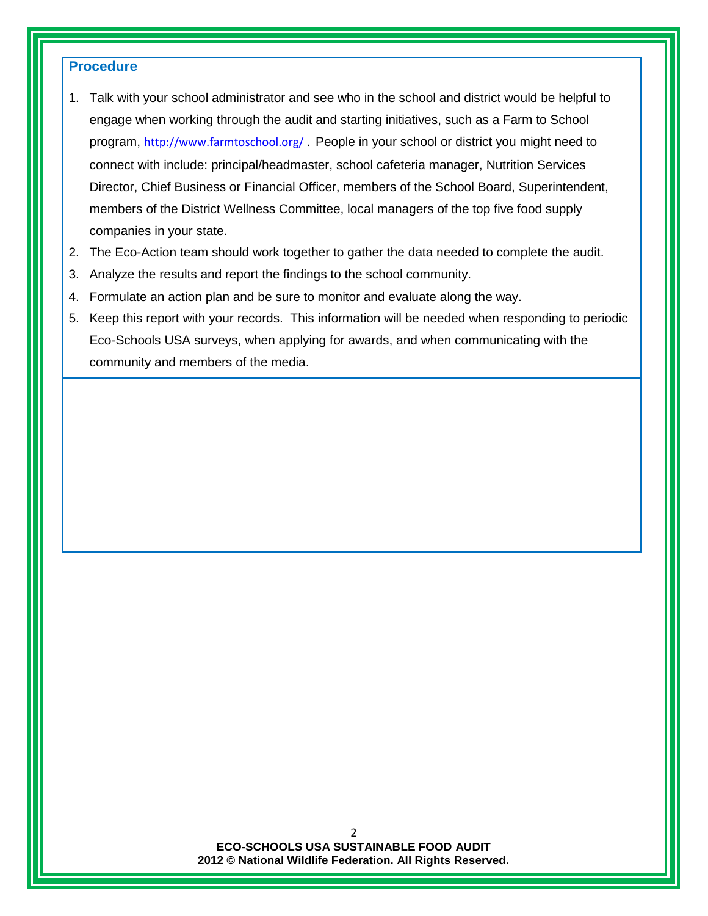# **Procedure**

- 1. Talk with your school administrator and see who in the school and district would be helpful to engage when working through the audit and starting initiatives, such as a Farm to School program, <http://www.farmtoschool.org/>. People in your school or district you might need to connect with include: principal/headmaster, school cafeteria manager, Nutrition Services Director, Chief Business or Financial Officer, members of the School Board, Superintendent, members of the District Wellness Committee, local managers of the top five food supply companies in your state.
- 2. The Eco-Action team should work together to gather the data needed to complete the audit.
- 3. Analyze the results and report the findings to the school community.
- 4. Formulate an action plan and be sure to monitor and evaluate along the way.
- 5. Keep this report with your records. This information will be needed when responding to periodic Eco-Schools USA surveys, when applying for awards, and when communicating with the community and members of the media.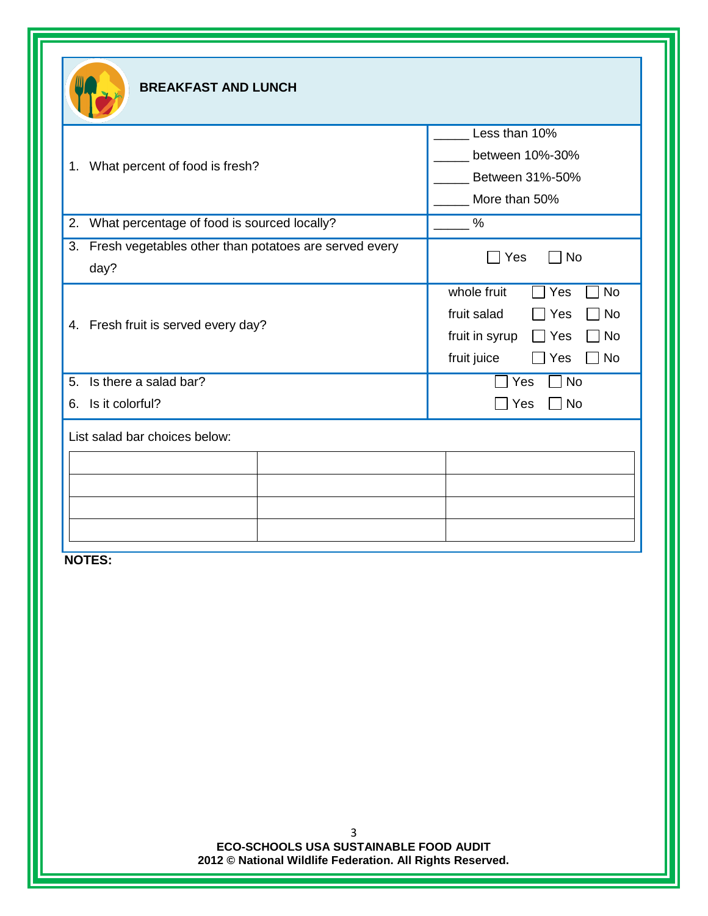|                                                                     | Less than 10%                                                                                                                                                 |  |
|---------------------------------------------------------------------|---------------------------------------------------------------------------------------------------------------------------------------------------------------|--|
|                                                                     | between 10%-30%                                                                                                                                               |  |
| What percent of food is fresh?                                      | Between 31%-50%                                                                                                                                               |  |
|                                                                     | More than 50%                                                                                                                                                 |  |
| What percentage of food is sourced locally?<br>2.                   | $\%$                                                                                                                                                          |  |
| 3.<br>Fresh vegetables other than potatoes are served every<br>day? | $\Box$ No<br>Yes                                                                                                                                              |  |
| 4. Fresh fruit is served every day?                                 | whole fruit<br><b>No</b><br>Yes<br>fruit salad<br><b>No</b><br>Yes<br>fruit in syrup<br>Mo ∣<br>Yes<br>$\mathbf{I}$<br>fruit juice<br>$\Box$ Yes<br>$\Box$ No |  |
| Is there a salad bar?<br>5.                                         | <b>No</b><br>Yes                                                                                                                                              |  |
| Is it colorful?<br>6.                                               | Yes<br><b>No</b>                                                                                                                                              |  |
| List salad bar choices below:                                       |                                                                                                                                                               |  |
|                                                                     |                                                                                                                                                               |  |
|                                                                     |                                                                                                                                                               |  |
|                                                                     |                                                                                                                                                               |  |

**ECO-SCHOOLS USA SUSTAINABLE FOOD AUDIT 2012 © National Wildlife Federation. All Rights Reserved.**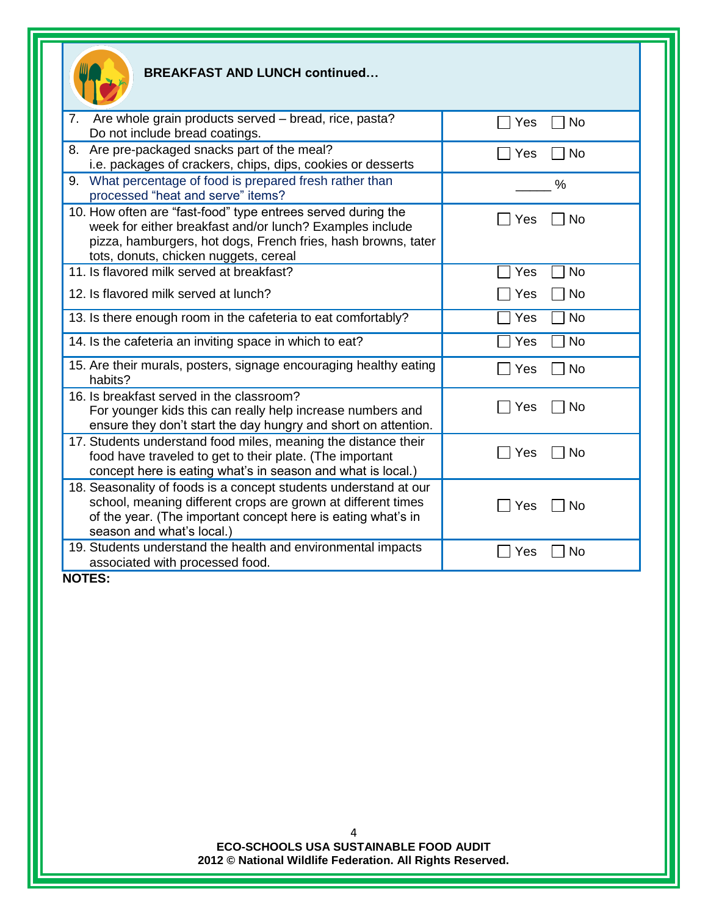| Ш |  |
|---|--|
|   |  |
|   |  |

## **BREAKFAST AND LUNCH continued…**

| Are whole grain products served – bread, rice, pasta?<br>7.<br>Do not include bread coatings.                                                                                                                                      | No<br>Yes        |
|------------------------------------------------------------------------------------------------------------------------------------------------------------------------------------------------------------------------------------|------------------|
| 8. Are pre-packaged snacks part of the meal?<br>i.e. packages of crackers, chips, dips, cookies or desserts                                                                                                                        | <b>No</b><br>Yes |
| 9. What percentage of food is prepared fresh rather than<br>processed "heat and serve" items?                                                                                                                                      | %                |
| 10. How often are "fast-food" type entrees served during the<br>week for either breakfast and/or lunch? Examples include<br>pizza, hamburgers, hot dogs, French fries, hash browns, tater<br>tots, donuts, chicken nuggets, cereal | <b>No</b><br>Yes |
| 11. Is flavored milk served at breakfast?                                                                                                                                                                                          | No<br>Yes        |
| 12. Is flavored milk served at lunch?                                                                                                                                                                                              | No<br>Yes        |
| 13. Is there enough room in the cafeteria to eat comfortably?                                                                                                                                                                      | <b>No</b><br>Yes |
| 14. Is the cafeteria an inviting space in which to eat?                                                                                                                                                                            | No<br>Yes        |
| 15. Are their murals, posters, signage encouraging healthy eating<br>habits?                                                                                                                                                       | No<br>Yes        |
| 16. Is breakfast served in the classroom?<br>For younger kids this can really help increase numbers and<br>ensure they don't start the day hungry and short on attention.                                                          | No<br>Yes        |
| 17. Students understand food miles, meaning the distance their<br>food have traveled to get to their plate. (The important<br>concept here is eating what's in season and what is local.)                                          | Yes<br>No        |
| 18. Seasonality of foods is a concept students understand at our<br>school, meaning different crops are grown at different times<br>of the year. (The important concept here is eating what's in<br>season and what's local.)      | Yes<br>No        |
| 19. Students understand the health and environmental impacts<br>associated with processed food.                                                                                                                                    | No<br>Yes        |

**NOTES:**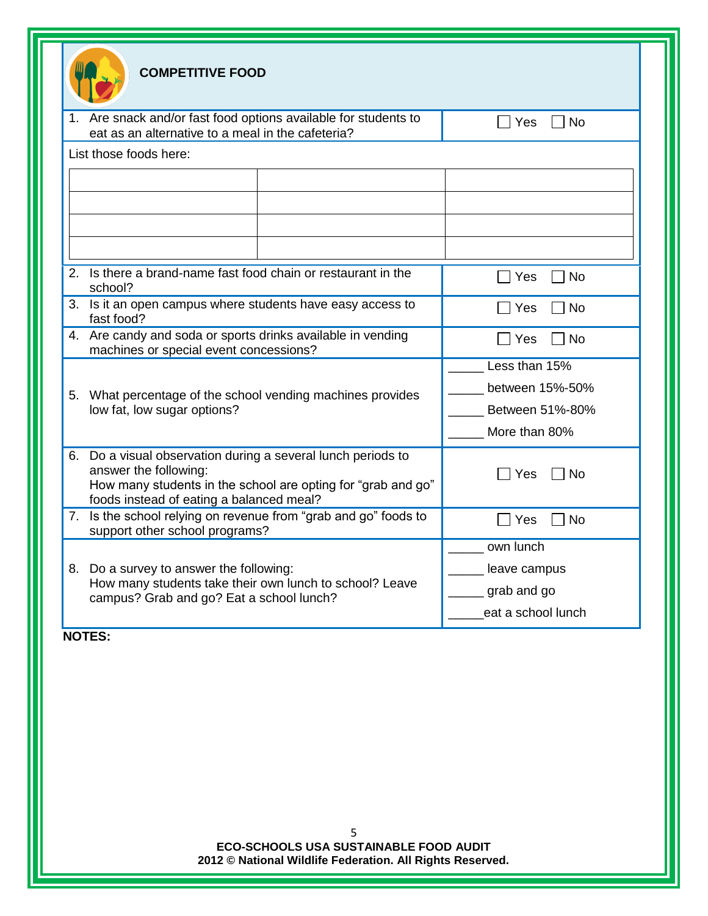|                                                                                                     | <b>COMPETITIVE FOOD</b>                                                                                                           |                                                              |                    |
|-----------------------------------------------------------------------------------------------------|-----------------------------------------------------------------------------------------------------------------------------------|--------------------------------------------------------------|--------------------|
|                                                                                                     | 1. Are snack and/or fast food options available for students to<br>eat as an alternative to a meal in the cafeteria?              |                                                              | □ Yes<br><b>No</b> |
|                                                                                                     | List those foods here:                                                                                                            |                                                              |                    |
|                                                                                                     |                                                                                                                                   |                                                              |                    |
|                                                                                                     |                                                                                                                                   |                                                              |                    |
|                                                                                                     |                                                                                                                                   |                                                              |                    |
|                                                                                                     |                                                                                                                                   |                                                              |                    |
| 2 <sub>1</sub>                                                                                      | Is there a brand-name fast food chain or restaurant in the<br>school?                                                             |                                                              | <b>No</b><br>Yes   |
|                                                                                                     | 3. Is it an open campus where students have easy access to<br>fast food?                                                          |                                                              | Yes<br>No          |
|                                                                                                     | 4. Are candy and soda or sports drinks available in vending<br>machines or special event concessions?                             |                                                              | <b>No</b><br>Yes   |
|                                                                                                     |                                                                                                                                   |                                                              | Less than 15%      |
|                                                                                                     | 5. What percentage of the school vending machines provides                                                                        |                                                              | between 15%-50%    |
|                                                                                                     | low fat, low sugar options?                                                                                                       |                                                              | Between 51%-80%    |
|                                                                                                     |                                                                                                                                   |                                                              | More than 80%      |
|                                                                                                     | 6. Do a visual observation during a several lunch periods to<br>answer the following:<br>foods instead of eating a balanced meal? | How many students in the school are opting for "grab and go" | Yes<br>No          |
|                                                                                                     | 7. Is the school relying on revenue from "grab and go" foods to<br>support other school programs?                                 |                                                              | <b>No</b><br>Yes   |
|                                                                                                     |                                                                                                                                   |                                                              | own lunch          |
|                                                                                                     | 8. Do a survey to answer the following:                                                                                           |                                                              | leave campus       |
| How many students take their own lunch to school? Leave<br>campus? Grab and go? Eat a school lunch? |                                                                                                                                   | grab and go                                                  |                    |
|                                                                                                     |                                                                                                                                   | eat a school lunch                                           |                    |
|                                                                                                     | <b>NOTES:</b>                                                                                                                     |                                                              |                    |

**ECO-SCHOOLS USA SUSTAINABLE FOOD AUDIT 2012 © National Wildlife Federation. All Rights Reserved.**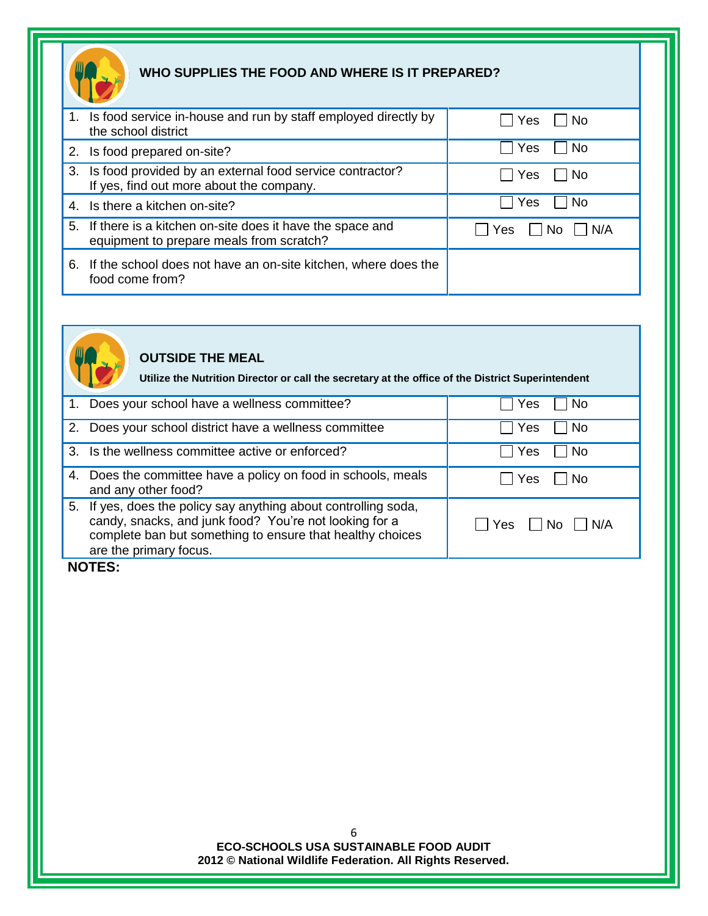

# **WHO SUPPLIES THE FOOD AND WHERE IS IT PREPARED?**

| 1. Is food service in-house and run by staff employed directly by<br>the school district                | ⊟ No<br>Yes       |
|---------------------------------------------------------------------------------------------------------|-------------------|
| 2. Is food prepared on-site?                                                                            | <b>No</b><br>Yes  |
| 3. Is food provided by an external food service contractor?<br>If yes, find out more about the company. | Yes<br>l No       |
| 4. Is there a kitchen on-site?                                                                          | Yes<br>No.        |
| 5. If there is a kitchen on-site does it have the space and<br>equipment to prepare meals from scratch? | N/A<br>Yes<br>No. |
| 6. If the school does not have an on-site kitchen, where does the<br>food come from?                    |                   |



# **OUTSIDE THE MEAL**

**Utilize the Nutrition Director or call the secretary at the office of the District Superintendent**

| 1. | Does your school have a wellness committee?                                                                                                                                                                      | Yes<br>No          |
|----|------------------------------------------------------------------------------------------------------------------------------------------------------------------------------------------------------------------|--------------------|
|    | 2. Does your school district have a wellness committee                                                                                                                                                           | No.<br>Yes         |
|    | 3. Is the wellness committee active or enforced?                                                                                                                                                                 | Yes<br>No.         |
|    | 4. Does the committee have a policy on food in schools, meals<br>and any other food?                                                                                                                             | Yes<br>No.         |
|    | 5. If yes, does the policy say anything about controlling soda,<br>candy, snacks, and junk food? You're not looking for a<br>complete ban but something to ensure that healthy choices<br>are the primary focus. | N/A<br>Yes<br>l No |

## **NOTES:**